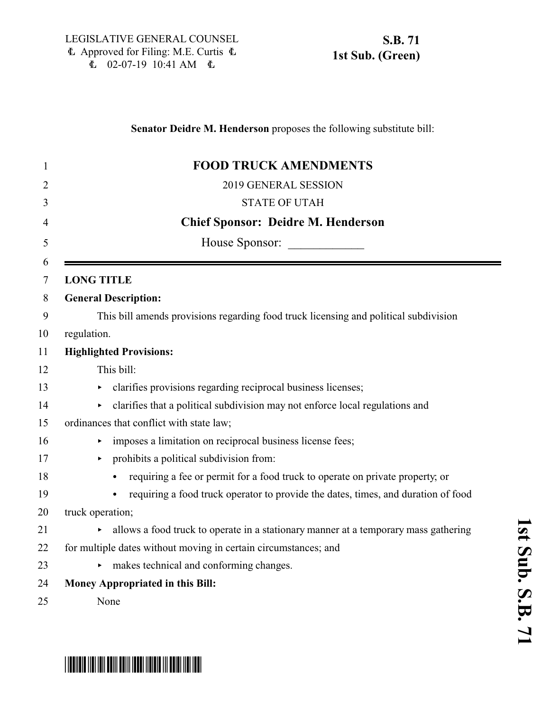### **Senator Deidre M. Henderson** proposes the following substitute bill:

| This bill amends provisions regarding food truck licensing and political subdivision |
|--------------------------------------------------------------------------------------|
|                                                                                      |
|                                                                                      |
|                                                                                      |
|                                                                                      |
| clarifies that a political subdivision may not enforce local regulations and         |
|                                                                                      |
|                                                                                      |
|                                                                                      |
| requiring a fee or permit for a food truck to operate on private property, or        |
| requiring a food truck operator to provide the dates, times, and duration of food    |
|                                                                                      |
| allows a food truck to operate in a stationary manner at a temporary mass gathering  |
|                                                                                      |
|                                                                                      |
|                                                                                      |
|                                                                                      |
|                                                                                      |

# \*SB0071S01\*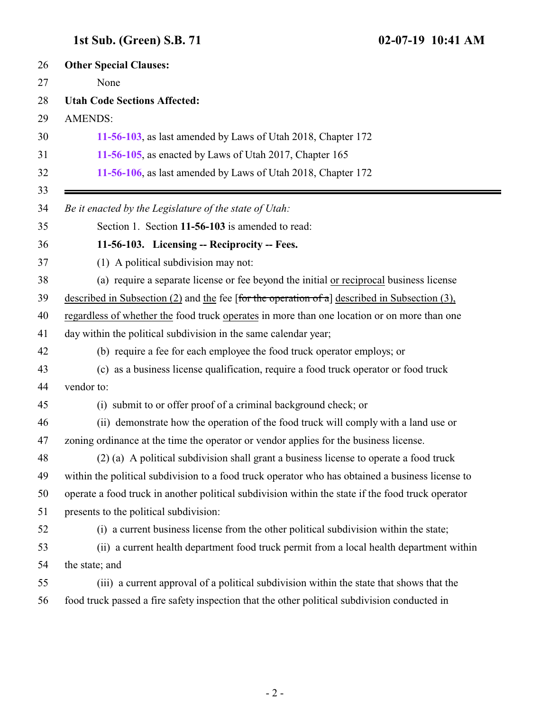## <span id="page-1-0"></span>**1st Sub. (Green) S.B. 71 02-07-19 10:41 AM**

| <b>Other Special Clauses:</b>                                                                      |
|----------------------------------------------------------------------------------------------------|
| None                                                                                               |
| <b>Utah Code Sections Affected:</b>                                                                |
| <b>AMENDS:</b>                                                                                     |
| 11-56-103, as last amended by Laws of Utah 2018, Chapter 172                                       |
| 11-56-105, as enacted by Laws of Utah 2017, Chapter 165                                            |
| 11-56-106, as last amended by Laws of Utah 2018, Chapter 172                                       |
| Be it enacted by the Legislature of the state of Utah:                                             |
| Section 1. Section 11-56-103 is amended to read:                                                   |
| 11-56-103. Licensing -- Reciprocity -- Fees.                                                       |
| (1) A political subdivision may not:                                                               |
| (a) require a separate license or fee beyond the initial or reciprocal business license            |
| described in Subsection $(2)$ and the fee [for the operation of a] described in Subsection $(3)$ , |
| regardless of whether the food truck operates in more than one location or on more than one        |
| day within the political subdivision in the same calendar year;                                    |
| (b) require a fee for each employee the food truck operator employs; or                            |
| (c) as a business license qualification, require a food truck operator or food truck               |
| vendor to:                                                                                         |
| (i) submit to or offer proof of a criminal background check; or                                    |
| (ii) demonstrate how the operation of the food truck will comply with a land use or                |
| zoning ordinance at the time the operator or vendor applies for the business license.              |
| (2) (a) A political subdivision shall grant a business license to operate a food truck             |
| within the political subdivision to a food truck operator who has obtained a business license to   |
| operate a food truck in another political subdivision within the state if the food truck operator  |
| presents to the political subdivision:                                                             |
| (i) a current business license from the other political subdivision within the state;              |
| (ii) a current health department food truck permit from a local health department within           |
| the state; and                                                                                     |
| (iii) a current approval of a political subdivision within the state that shows that the           |
| food truck passed a fire safety inspection that the other political subdivision conducted in       |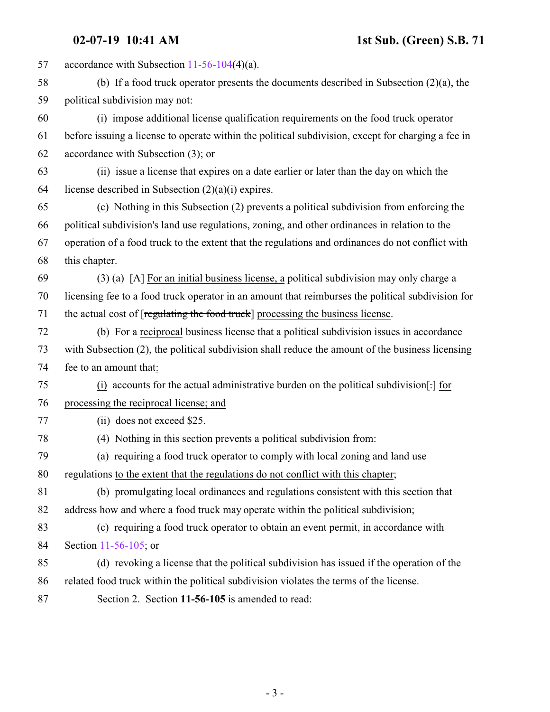<span id="page-2-0"></span> accordance with Subsection [11-56-104](http://le.utah.gov/UtahCode/SectionLookup.jsp?section=11-56-104&session=2019GS)(4)(a). (b) If a food truck operator presents the documents described in Subsection (2)(a), the political subdivision may not: (i) impose additional license qualification requirements on the food truck operator before issuing a license to operate within the political subdivision, except for charging a fee in accordance with Subsection (3); or (ii) issue a license that expires on a date earlier or later than the day on which the 64 license described in Subsection  $(2)(a)(i)$  expires. (c) Nothing in this Subsection (2) prevents a political subdivision from enforcing the political subdivision's land use regulations, zoning, and other ordinances in relation to the operation of a food truck to the extent that the regulations and ordinances do not conflict with this chapter. 69 (3) (a) [A] For an initial business license, a political subdivision may only charge a licensing fee to a food truck operator in an amount that reimburses the political subdivision for 71 the actual cost of [regulating the food truck] processing the business license. (b) For a reciprocal business license that a political subdivision issues in accordance with Subsection (2), the political subdivision shall reduce the amount of the business licensing fee to an amount that: (i) accounts for the actual administrative burden on the political subdivision[.] for processing the reciprocal license; and (ii) does not exceed \$25. (4) Nothing in this section prevents a political subdivision from: (a) requiring a food truck operator to comply with local zoning and land use regulations to the extent that the regulations do not conflict with this chapter; (b) promulgating local ordinances and regulations consistent with this section that address how and where a food truck may operate within the political subdivision; (c) requiring a food truck operator to obtain an event permit, in accordance with Section [11-56-105](#page-2-0); or (d) revoking a license that the political subdivision has issued if the operation of the related food truck within the political subdivision violates the terms of the license. Section 2. Section **11-56-105** is amended to read: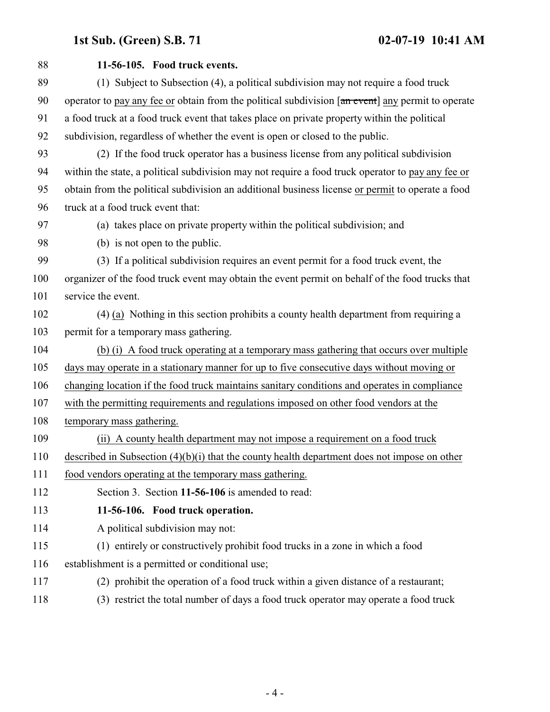## **1st Sub. (Green) S.B. 71 02-07-19 10:41 AM**

<span id="page-3-0"></span>

| 88  | 11-56-105. Food truck events.                                                                     |
|-----|---------------------------------------------------------------------------------------------------|
| 89  | (1) Subject to Subsection (4), a political subdivision may not require a food truck               |
| 90  | operator to pay any fee or obtain from the political subdivision [an event] any permit to operate |
| 91  | a food truck at a food truck event that takes place on private property within the political      |
| 92  | subdivision, regardless of whether the event is open or closed to the public.                     |
| 93  | (2) If the food truck operator has a business license from any political subdivision              |
| 94  | within the state, a political subdivision may not require a food truck operator to pay any fee or |
| 95  | obtain from the political subdivision an additional business license or permit to operate a food  |
| 96  | truck at a food truck event that:                                                                 |
| 97  | (a) takes place on private property within the political subdivision; and                         |
| 98  | (b) is not open to the public.                                                                    |
| 99  | (3) If a political subdivision requires an event permit for a food truck event, the               |
| 100 | organizer of the food truck event may obtain the event permit on behalf of the food trucks that   |
| 101 | service the event.                                                                                |
| 102 | (4) (a) Nothing in this section prohibits a county health department from requiring a             |
| 103 | permit for a temporary mass gathering.                                                            |
| 104 | (b) (i) A food truck operating at a temporary mass gathering that occurs over multiple            |
| 105 | days may operate in a stationary manner for up to five consecutive days without moving or         |
| 106 | changing location if the food truck maintains sanitary conditions and operates in compliance      |
| 107 | with the permitting requirements and regulations imposed on other food vendors at the             |
| 108 | temporary mass gathering.                                                                         |
| 109 | (ii) A county health department may not impose a requirement on a food truck                      |
| 110 | described in Subsection $(4)(b)(i)$ that the county health department does not impose on other    |
| 111 | food vendors operating at the temporary mass gathering.                                           |
| 112 | Section 3. Section 11-56-106 is amended to read:                                                  |
| 113 | 11-56-106. Food truck operation.                                                                  |
| 114 | A political subdivision may not:                                                                  |
| 115 | (1) entirely or constructively prohibit food trucks in a zone in which a food                     |
| 116 | establishment is a permitted or conditional use;                                                  |
| 117 | (2) prohibit the operation of a food truck within a given distance of a restaurant;               |
| 118 | (3) restrict the total number of days a food truck operator may operate a food truck              |